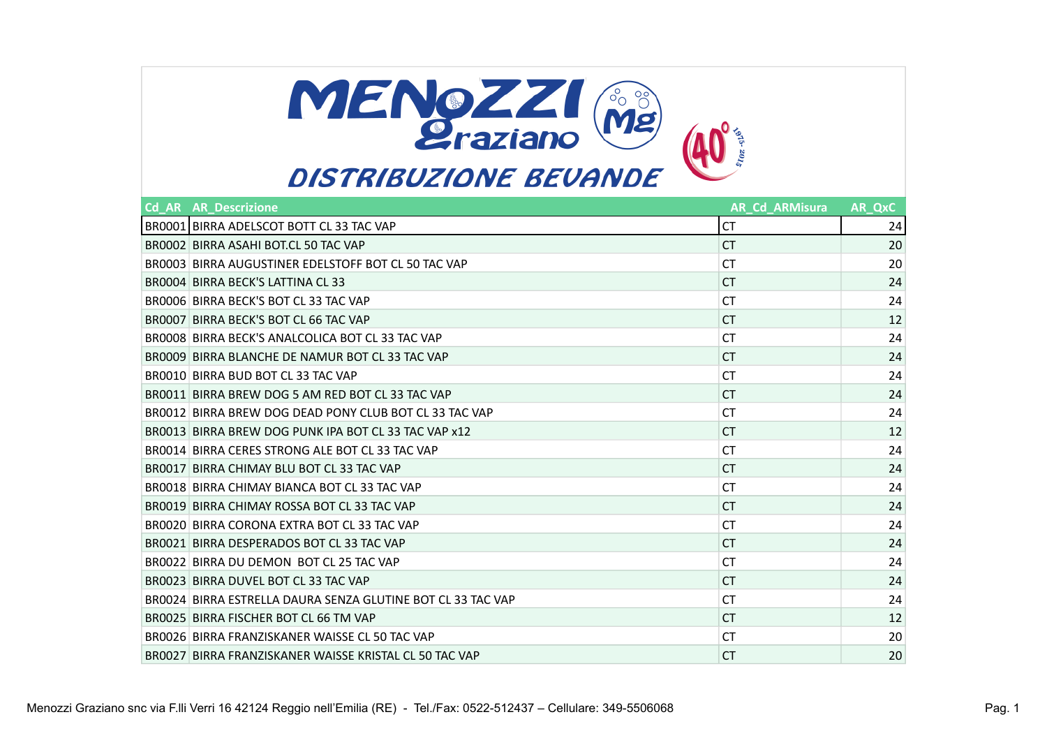

| <b>Cd AR AR Descrizione</b>                                 | <b>AR Cd ARMisura</b> | AR QxC |
|-------------------------------------------------------------|-----------------------|--------|
| BR0001 BIRRA ADELSCOT BOTT CL 33 TAC VAP                    | СT                    | 24     |
| BROOO2 BIRRA ASAHI BOT.CL 50 TAC VAP                        | СT                    | 20     |
| BR0003 BIRRA AUGUSTINER EDELSTOFF BOT CL 50 TAC VAP         | СT                    | 20     |
| BR0004 BIRRA BECK'S LATTINA CL 33                           | СT                    | 24     |
| BR0006 BIRRA BECK'S BOT CL 33 TAC VAP                       | СT                    | 24     |
| BR0007 BIRRA BECK'S BOT CL 66 TAC VAP                       | СT                    | 12     |
| BR0008 BIRRA BECK'S ANALCOLICA BOT CL 33 TAC VAP            | СT                    | 24     |
| BR0009 BIRRA BLANCHE DE NAMUR BOT CL 33 TAC VAP             | СT                    | 24     |
| BR0010 BIRRA BUD BOT CL 33 TAC VAP                          | СT                    | 24     |
| BR0011 BIRRA BREW DOG 5 AM RED BOT CL 33 TAC VAP            | СT                    | 24     |
| BR0012 BIRRA BREW DOG DEAD PONY CLUB BOT CL 33 TAC VAP      | СT                    | 24     |
| BR0013 BIRRA BREW DOG PUNK IPA BOT CL 33 TAC VAP x12        | СT                    | 12     |
| BR0014 BIRRA CERES STRONG ALE BOT CL 33 TAC VAP             | СT                    | 24     |
| BR0017 BIRRA CHIMAY BLU BOT CL 33 TAC VAP                   | СT                    | 24     |
| BR0018 BIRRA CHIMAY BIANCA BOT CL 33 TAC VAP                | СT                    | 24     |
| BR0019 BIRRA CHIMAY ROSSA BOT CL 33 TAC VAP                 | СT                    | 24     |
| BR0020 BIRRA CORONA EXTRA BOT CL 33 TAC VAP                 | СT                    | 24     |
| BR0021 BIRRA DESPERADOS BOT CL 33 TAC VAP                   | СT                    | 24     |
| BR0022 BIRRA DU DEMON BOT CL 25 TAC VAP                     | СT                    | 24     |
| BR0023 BIRRA DUVEL BOT CL 33 TAC VAP                        | СT                    | 24     |
| BR0024 BIRRA ESTRELLA DAURA SENZA GLUTINE BOT CL 33 TAC VAP | СT                    | 24     |
| BR0025 BIRRA FISCHER BOT CL 66 TM VAP                       | СT                    | 12     |
| BR0026 BIRRA FRANZISKANER WAISSE CL 50 TAC VAP              | СT                    | 20     |
| BR0027 BIRRA FRANZISKANER WAISSE KRISTAL CL 50 TAC VAP      | СT                    | 20     |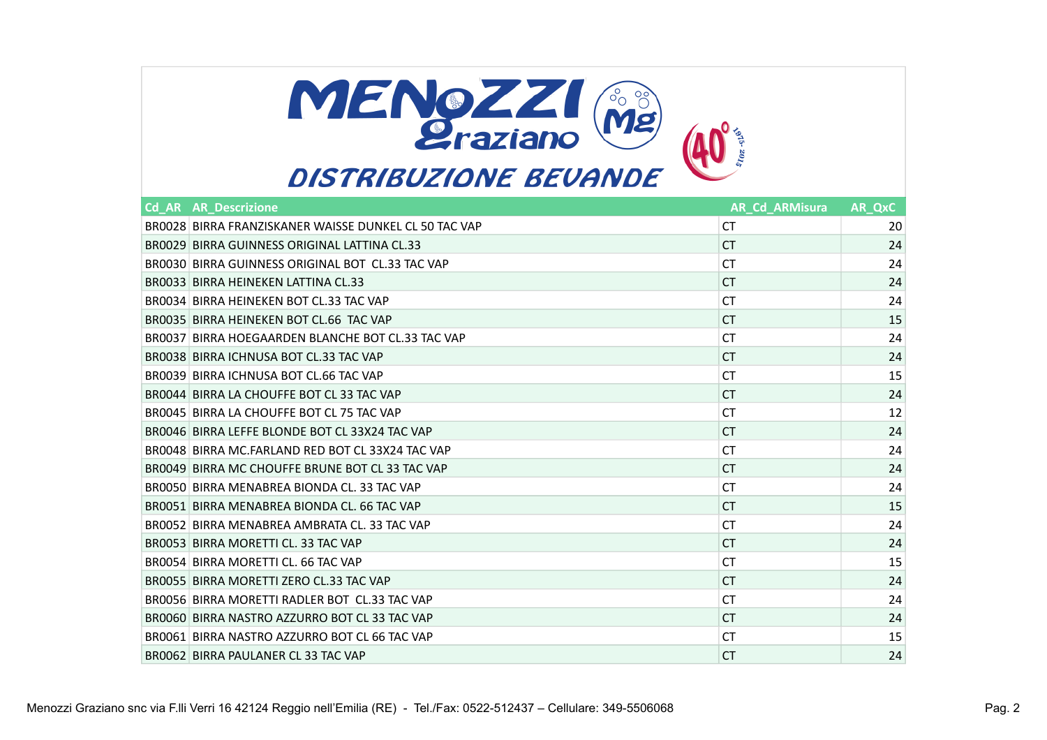

| <b>Cd AR AR Descrizione</b>                           | <b>AR Cd ARMisura</b> | AR QxC |
|-------------------------------------------------------|-----------------------|--------|
| BR0028 BIRRA FRANZISKANER WAISSE DUNKEL CL 50 TAC VAP | СT                    | 20     |
| BR0029 BIRRA GUINNESS ORIGINAL LATTINA CL.33          | CT.                   | 24     |
| BR0030 BIRRA GUINNESS ORIGINAL BOT CL.33 TAC VAP      | СT                    | 24     |
| BROO33 BIRRA HEINEKEN LATTINA CL.33                   | СT                    | 24     |
| BR0034 BIRRA HEINEKEN BOT CL.33 TAC VAP               | СT                    | 24     |
| BR0035 BIRRA HEINEKEN BOT CL.66 TAC VAP               | СT                    | 15     |
| BR0037 BIRRA HOEGAARDEN BLANCHE BOT CL.33 TAC VAP     | СT                    | 24     |
| BROO38 BIRRA ICHNUSA BOT CL.33 TAC VAP                | СT                    | 24     |
| BR0039 BIRRA ICHNUSA BOT CL.66 TAC VAP                | СT                    | 15     |
| BR0044 BIRRA LA CHOUFFE BOT CL 33 TAC VAP             | СT                    | 24     |
| BR0045 BIRRA LA CHOUFFE BOT CL 75 TAC VAP             | СT                    | 12     |
| BR0046 BIRRA LEFFE BLONDE BOT CL 33X24 TAC VAP        | СT                    | 24     |
| BR0048 BIRRA MC.FARLAND RED BOT CL 33X24 TAC VAP      | СT                    | 24     |
| BR0049 BIRRA MC CHOUFFE BRUNE BOT CL 33 TAC VAP       | <b>CT</b>             | 24     |
| BR0050 BIRRA MENABREA BIONDA CL. 33 TAC VAP           | СT                    | 24     |
| BR0051 BIRRA MENABREA BIONDA CL. 66 TAC VAP           | СT                    | 15     |
| BR0052 BIRRA MENABREA AMBRATA CL. 33 TAC VAP          | <b>CT</b>             | 24     |
| BR0053 BIRRA MORETTI CL. 33 TAC VAP                   | СT                    | 24     |
| BR0054 BIRRA MORETTI CL. 66 TAC VAP                   | <b>CT</b>             | 15     |
| BR0055 BIRRA MORETTI ZERO CL.33 TAC VAP               | СT                    | 24     |
| BR0056 BIRRA MORETTI RADLER BOT CL.33 TAC VAP         | <b>CT</b>             | 24     |
| BR0060 BIRRA NASTRO AZZURRO BOT CL 33 TAC VAP         | CT.                   | 24     |
| BR0061 BIRRA NASTRO AZZURRO BOT CL 66 TAC VAP         | СT                    | 15     |
| BR0062 BIRRA PAULANER CL 33 TAC VAP                   | <b>CT</b>             | 24     |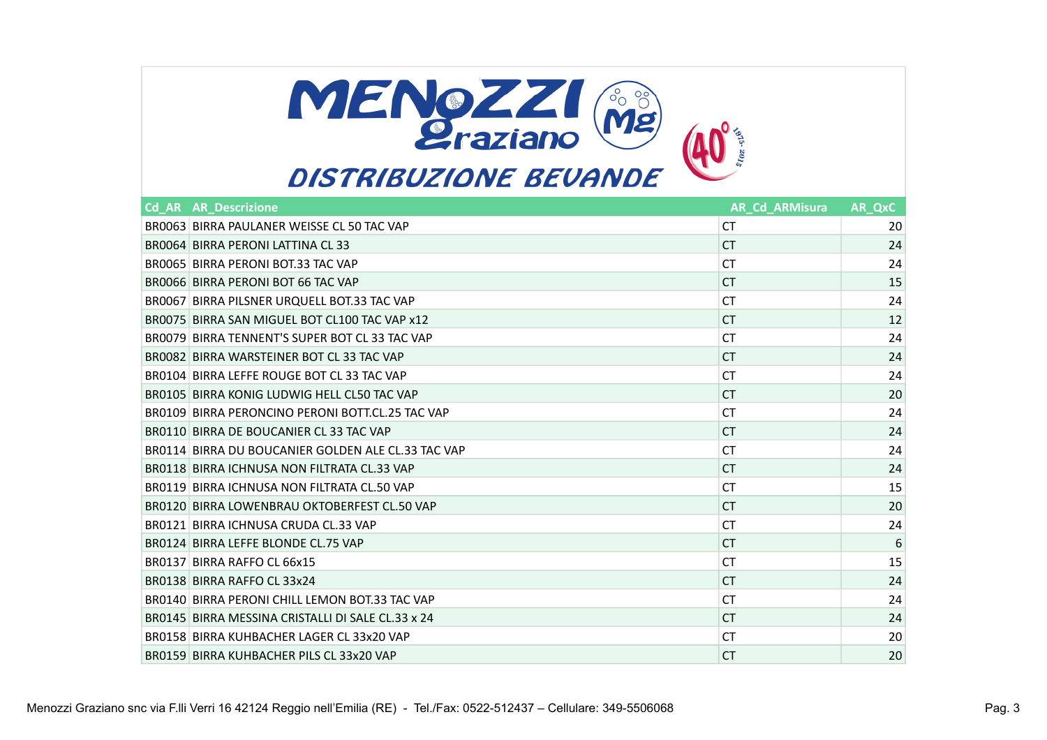

| <b>Cd AR AR Descrizione</b>                        | <b>AR Cd ARMisura</b> | AR QxC          |
|----------------------------------------------------|-----------------------|-----------------|
| BR0063 BIRRA PAULANER WEISSE CL 50 TAC VAP         | СT                    | 20              |
| BR0064 BIRRA PERONI LATTINA CL 33                  | CT.                   | 24              |
| BR0065 BIRRA PERONI BOT.33 TAC VAP                 | СT                    | 24              |
| BR0066 BIRRA PERONI BOT 66 TAC VAP                 | СT                    | 15              |
| BR0067 BIRRA PILSNER URQUELL BOT.33 TAC VAP        | СT                    | 24              |
| BR0075 BIRRA SAN MIGUEL BOT CL100 TAC VAP x12      | <b>CT</b>             | 12              |
| BR0079 BIRRA TENNENT'S SUPER BOT CL 33 TAC VAP     | СT                    | 24              |
| BR0082 BIRRA WARSTEINER BOT CL 33 TAC VAP          | <b>CT</b>             | 24              |
| BR0104 BIRRA LEFFE ROUGE BOT CL 33 TAC VAP         | <b>CT</b>             | 24              |
| BR0105 BIRRA KONIG LUDWIG HELL CL50 TAC VAP        | СT                    | 20              |
| BR0109 BIRRA PERONCINO PERONI BOTT.CL.25 TAC VAP   | СT                    | 24              |
| BR0110 BIRRA DE BOUCANIER CL 33 TAC VAP            | СT                    | 24              |
| BR0114 BIRRA DU BOUCANIER GOLDEN ALE CL.33 TAC VAP | СT                    | 24              |
| BR0118 BIRRA ICHNUSA NON FILTRATA CL.33 VAP        | СT                    | 24              |
| BR0119 BIRRA ICHNUSA NON FILTRATA CL.50 VAP        | СT                    | 15              |
| BR0120 BIRRA LOWENBRAU OKTOBERFEST CL.50 VAP       | СT                    | 20              |
| BR0121 BIRRA ICHNUSA CRUDA CL.33 VAP               | СT                    | 24              |
| BR0124 BIRRA LEFFE BLONDE CL.75 VAP                | СT                    | $6\phantom{1}6$ |
| BR0137 BIRRA RAFFO CL 66x15                        | СT                    | 15              |
| BR0138 BIRRA RAFFO CL 33x24                        | СT                    | 24              |
| BR0140 BIRRA PERONI CHILL LEMON BOT 33 TAC VAP     | СT                    | 24              |
| BR0145 BIRRA MESSINA CRISTALLI DI SALE CL.33 x 24  | СT                    | 24              |
| BR0158 BIRRA KUHBACHER LAGER CL 33x20 VAP          | СT                    | 20              |
| BR0159 BIRRA KUHBACHER PILS CL 33x20 VAP           | СT                    | 20              |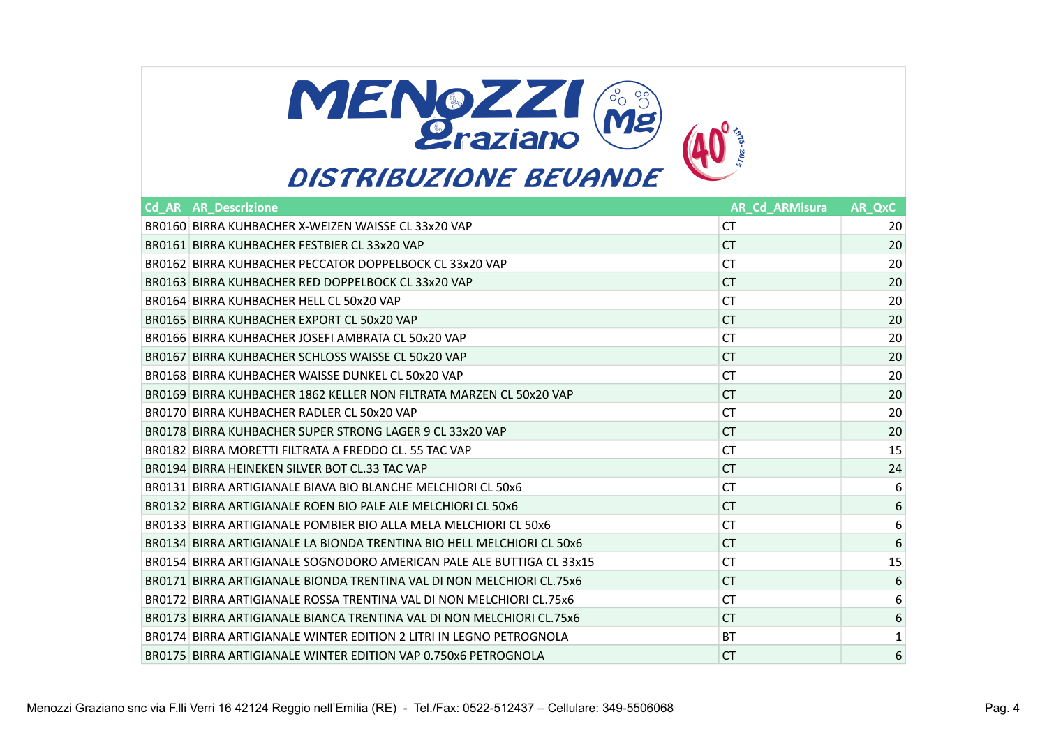

| <b>Cd AR AR Descrizione</b>                                            | <b>AR Cd ARMisura</b> | <b>AR_QxC</b>    |
|------------------------------------------------------------------------|-----------------------|------------------|
| BR0160 BIRRA KUHBACHER X-WEIZEN WAISSE CL 33x20 VAP                    | СT                    | 20               |
| BR0161 BIRRA KUHBACHER FESTBIER CL 33x20 VAP                           | СT                    | 20               |
| BR0162 BIRRA KUHBACHER PECCATOR DOPPELBOCK CL 33x20 VAP                | СT                    | 20               |
| BR0163 BIRRA KUHBACHER RED DOPPELBOCK CL 33x20 VAP                     | СT                    | 20               |
| BR0164 BIRRA KUHBACHER HELL CL 50x20 VAP                               | СT                    | 20               |
| BR0165 BIRRA KUHBACHER EXPORT CL 50x20 VAP                             | <b>CT</b>             | 20               |
| BR0166 BIRRA KUHBACHER JOSEFI AMBRATA CL 50x20 VAP                     | СT                    | 20               |
| BR0167 BIRRA KUHBACHER SCHLOSS WAISSE CL 50x20 VAP                     | СT                    | 20               |
| BR0168 BIRRA KUHBACHER WAISSE DUNKEL CL 50x20 VAP                      | СT                    | 20               |
| BR0169 BIRRA KUHBACHER 1862 KELLER NON FILTRATA MARZEN CL 50x20 VAP    | СT                    | 20               |
| BR0170 BIRRA KUHBACHER RADLER CL 50x20 VAP                             | СT                    | 20               |
| BR0178 BIRRA KUHBACHER SUPER STRONG LAGER 9 CL 33x20 VAP               | СT                    | 20               |
| BR0182 BIRRA MORETTI FILTRATA A FREDDO CL. 55 TAC VAP                  | СT                    | 15               |
| BR0194 BIRRA HEINEKEN SILVER BOT CL.33 TAC VAP                         | СT                    | 24               |
| BR0131 BIRRA ARTIGIANALE BIAVA BIO BLANCHE MELCHIORI CL 50x6           | СT                    | 6                |
| BR0132 BIRRA ARTIGIANALE ROEN BIO PALE ALE MELCHIORI CL 50x6           | СT                    | $\,6\,$          |
| BR0133 BIRRA ARTIGIANALE POMBIER BIO ALLA MELA MELCHIORI CL 50x6       | СT                    | 6                |
| BR0134 BIRRA ARTIGIANALE LA BIONDA TRENTINA BIO HELL MELCHIORI CL 50x6 | СT                    | $\boldsymbol{6}$ |
| BR0154 BIRRA ARTIGIANALE SOGNODORO AMERICAN PALE ALE BUTTIGA CL 33x15  | СT                    | 15               |
| BR0171 BIRRA ARTIGIANALE BIONDA TRENTINA VAL DI NON MELCHIORI CL.75x6  | СT                    | $6\phantom{1}6$  |
| BR0172 BIRRA ARTIGIANALE ROSSA TRENTINA VAL DI NON MELCHIORI CL.75x6   | СT                    | 6                |
| BR0173 BIRRA ARTIGIANALE BIANCA TRENTINA VAL DI NON MELCHIORI CL.75x6  | СT                    | $\,6\,$          |
| BR0174 BIRRA ARTIGIANALE WINTER EDITION 2 LITRI IN LEGNO PETROGNOLA    | BT                    | 1                |
| BR0175 BIRRA ARTIGIANALE WINTER EDITION VAP 0.750x6 PETROGNOLA         | СT                    | 6                |